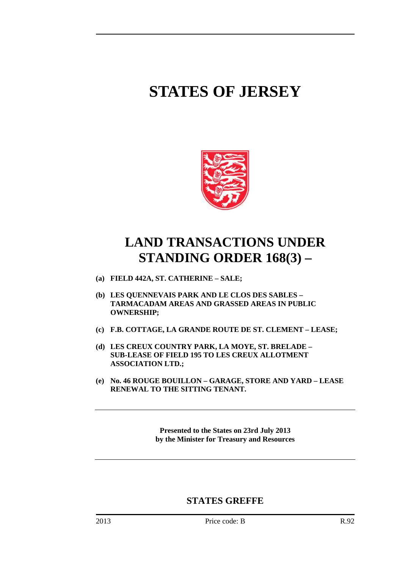# **STATES OF JERSEY**



## **LAND TRANSACTIONS UNDER STANDING ORDER 168(3) –**

- **(a) FIELD 442A, ST. CATHERINE SALE;**
- **(b) LES QUENNEVAIS PARK AND LE CLOS DES SABLES TARMACADAM AREAS AND GRASSED AREAS IN PUBLIC OWNERSHIP;**
- **(c) F.B. COTTAGE, LA GRANDE ROUTE DE ST. CLEMENT LEASE;**
- **(d) LES CREUX COUNTRY PARK, LA MOYE, ST. BRELADE SUB-LEASE OF FIELD 195 TO LES CREUX ALLOTMENT ASSOCIATION LTD.;**
- **(e) No. 46 ROUGE BOUILLON GARAGE, STORE AND YARD LEASE RENEWAL TO THE SITTING TENANT.**

**Presented to the States on 23rd July 2013 by the Minister for Treasury and Resources** 

### **STATES GREFFE**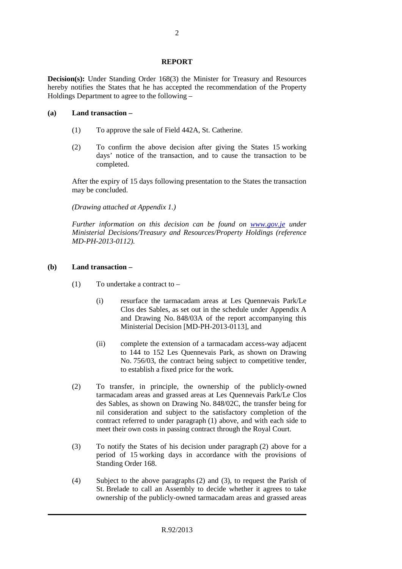#### **REPORT**

**Decision(s):** Under Standing Order 168(3) the Minister for Treasury and Resources hereby notifies the States that he has accepted the recommendation of the Property Holdings Department to agree to the following –

#### **(a) Land transaction –**

- (1) To approve the sale of Field 442A, St. Catherine.
- (2) To confirm the above decision after giving the States 15 working days' notice of the transaction, and to cause the transaction to be completed.

 After the expiry of 15 days following presentation to the States the transaction may be concluded.

 *(Drawing attached at Appendix 1.)* 

 *Further information on this decision can be found on www.gov.je under Ministerial Decisions/Treasury and Resources/Property Holdings (reference MD-PH-2013-0112).* 

#### **(b) Land transaction –**

- (1) To undertake a contract to  $-$ 
	- (i) resurface the tarmacadam areas at Les Quennevais Park/Le Clos des Sables, as set out in the schedule under Appendix A and Drawing No. 848/03A of the report accompanying this Ministerial Decision [MD-PH-2013-0113], and
	- (ii) complete the extension of a tarmacadam access-way adjacent to 144 to 152 Les Quennevais Park, as shown on Drawing No. 756/03, the contract being subject to competitive tender, to establish a fixed price for the work.
- (2) To transfer, in principle, the ownership of the publicly-owned tarmacadam areas and grassed areas at Les Quennevais Park/Le Clos des Sables, as shown on Drawing No. 848/02C, the transfer being for nil consideration and subject to the satisfactory completion of the contract referred to under paragraph (1) above, and with each side to meet their own costs in passing contract through the Royal Court.
- (3) To notify the States of his decision under paragraph (2) above for a period of 15 working days in accordance with the provisions of Standing Order 168.
- (4) Subject to the above paragraphs (2) and (3), to request the Parish of St. Brelade to call an Assembly to decide whether it agrees to take ownership of the publicly-owned tarmacadam areas and grassed areas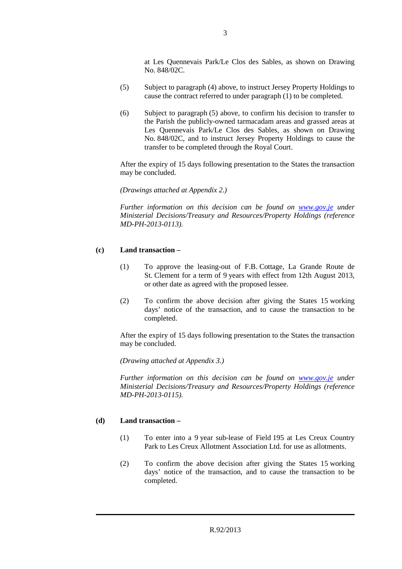at Les Quennevais Park/Le Clos des Sables, as shown on Drawing No. 848/02C.

- (5) Subject to paragraph (4) above, to instruct Jersey Property Holdings to cause the contract referred to under paragraph (1) to be completed.
- (6) Subject to paragraph (5) above, to confirm his decision to transfer to the Parish the publicly-owned tarmacadam areas and grassed areas at Les Quennevais Park/Le Clos des Sables, as shown on Drawing No. 848/02C, and to instruct Jersey Property Holdings to cause the transfer to be completed through the Royal Court.

 After the expiry of 15 days following presentation to the States the transaction may be concluded.

 *(Drawings attached at Appendix 2.)* 

 *Further information on this decision can be found on www.gov.je under Ministerial Decisions/Treasury and Resources/Property Holdings (reference MD-PH-2013-0113).* 

#### **(c) Land transaction –**

- (1) To approve the leasing-out of F.B. Cottage, La Grande Route de St. Clement for a term of 9 years with effect from 12th August 2013, or other date as agreed with the proposed lessee.
- (2) To confirm the above decision after giving the States 15 working days' notice of the transaction, and to cause the transaction to be completed.

 After the expiry of 15 days following presentation to the States the transaction may be concluded.

 *(Drawing attached at Appendix 3.)* 

 *Further information on this decision can be found on www.gov.je under Ministerial Decisions/Treasury and Resources/Property Holdings (reference MD-PH-2013-0115).* 

#### **(d) Land transaction –**

- (1) To enter into a 9 year sub-lease of Field 195 at Les Creux Country Park to Les Creux Allotment Association Ltd. for use as allotments.
- (2) To confirm the above decision after giving the States 15 working days' notice of the transaction, and to cause the transaction to be completed.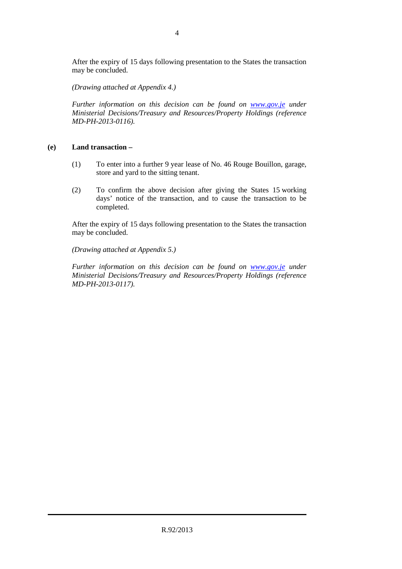After the expiry of 15 days following presentation to the States the transaction may be concluded.

 *(Drawing attached at Appendix 4.)* 

 *Further information on this decision can be found on www.gov.je under Ministerial Decisions/Treasury and Resources/Property Holdings (reference MD-PH-2013-0116).* 

#### **(e) Land transaction –**

- (1) To enter into a further 9 year lease of No. 46 Rouge Bouillon, garage, store and yard to the sitting tenant.
- (2) To confirm the above decision after giving the States 15 working days' notice of the transaction, and to cause the transaction to be completed.

 After the expiry of 15 days following presentation to the States the transaction may be concluded.

 *(Drawing attached at Appendix 5.)* 

 *Further information on this decision can be found on www.gov.je under Ministerial Decisions/Treasury and Resources/Property Holdings (reference MD-PH-2013-0117).*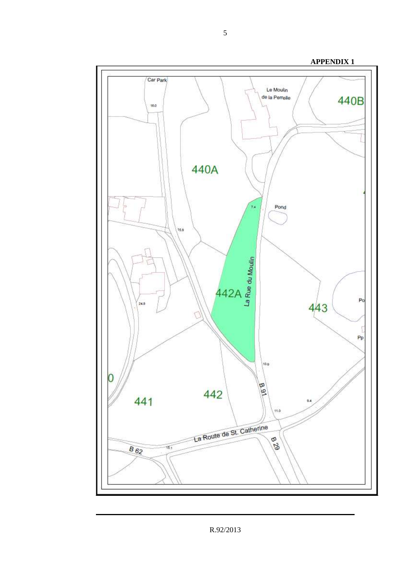

R.92/2013

5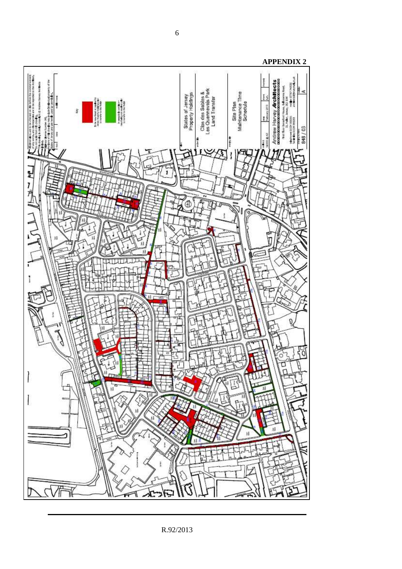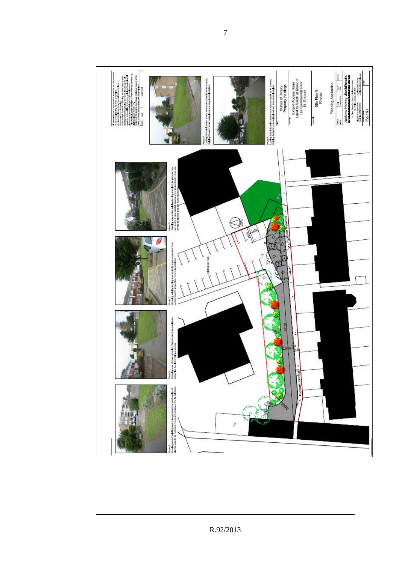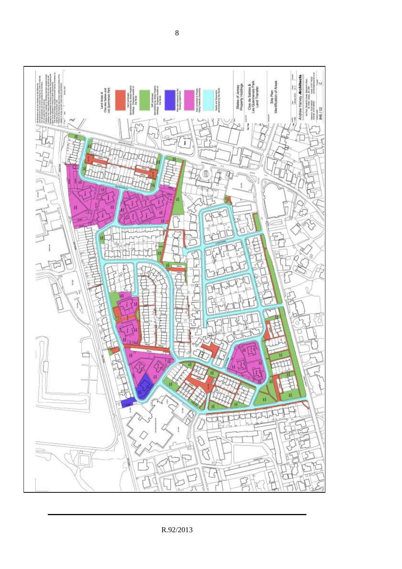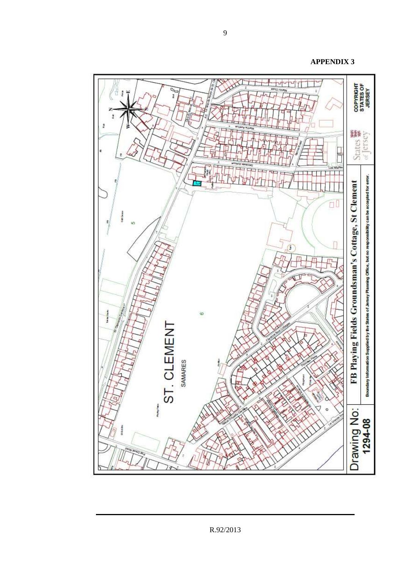**APPENDIX 3** 



9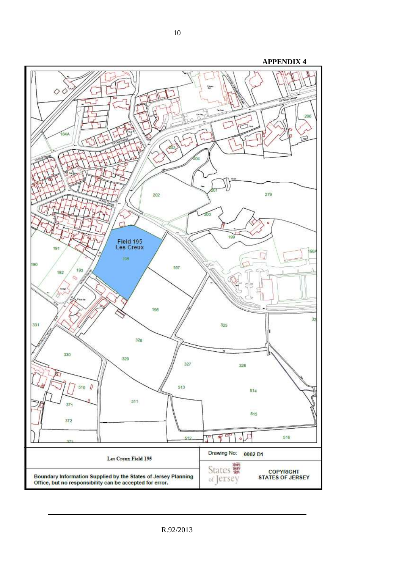

R.92/2013